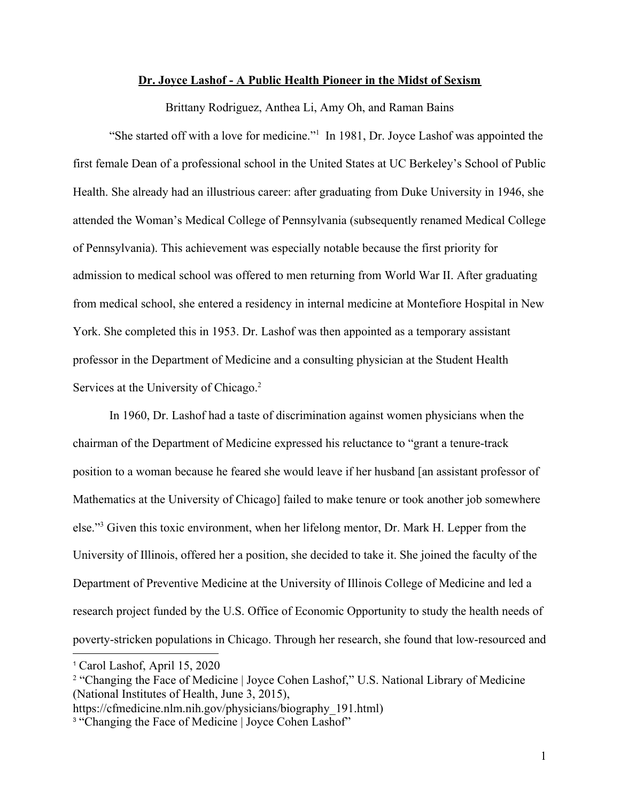## **Dr. Joyce Lashof - A Public Health Pioneer in the Midst of Sexism**

Brittany Rodriguez, Anthea Li, Amy Oh, and Raman Bains

"She started off with a love for medicine."<sup>1</sup> In 1981, Dr. Joyce Lashof was appointed the first female Dean of a professional school in the United States at UC Berkeley's School of Public Health. She already had an illustrious career: after graduating from Duke University in 1946, she attended the Woman's Medical College of Pennsylvania (subsequently renamed Medical College of Pennsylvania). This achievement was especially notable because the first priority for admission to medical school was offered to men returning from World War II. After graduating from medical school, she entered a residency in internal medicine at Montefiore Hospital in New York. She completed this in 1953. Dr. Lashof was then appointed as a temporary assistant professor in the Department of Medicine and a consulting physician at the Student Health Services at the University of Chicago.<sup>2</sup>

In 1960, Dr. Lashof had a taste of discrimination against women physicians when the chairman of the Department of Medicine expressed his reluctance to "grant a tenure-track position to a woman because he feared she would leave if her husband [an assistant professor of Mathematics at the University of Chicago] failed to make tenure or took another job somewhere else."<sup>3</sup> Given this toxic environment, when her lifelong mentor, Dr. Mark H. Lepper from the University of Illinois, offered her a position, she decided to take it. She joined the faculty of the Department of Preventive Medicine at the University of Illinois College of Medicine and led a research project funded by the U.S. Office of Economic Opportunity to study the health needs of poverty-stricken populations in Chicago. Through her research, she found that low-resourced and

<sup>1</sup> Carol Lashof, April 15, 2020

<sup>&</sup>lt;sup>2</sup> "Changing the Face of Medicine | Joyce Cohen Lashof," U.S. National Library of Medicine (National Institutes of Health, June 3, 2015),

https://cfmedicine.nlm.nih.gov/physicians/biography\_191.html)

<sup>&</sup>lt;sup>3</sup> "Changing the Face of Medicine | Joyce Cohen Lashof"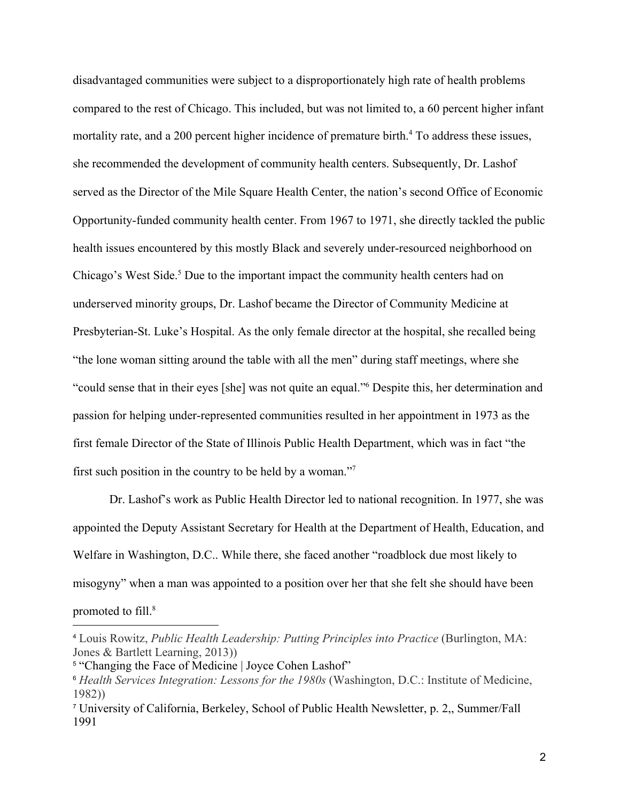disadvantaged communities were subject to a disproportionately high rate of health problems compared to the rest of Chicago. This included, but was not limited to, a 60 percent higher infant mortality rate, and a 200 percent higher incidence of premature birth.<sup>4</sup> To address these issues, she recommended the development of community health centers. Subsequently, Dr. Lashof served as the Director of the Mile Square Health Center, the nation's second Office of Economic Opportunity-funded community health center. From 1967 to 1971, she directly tackled the public health issues encountered by this mostly Black and severely under-resourced neighborhood on Chicago's West Side.<sup>5</sup> Due to the important impact the community health centers had on underserved minority groups, Dr. Lashof became the Director of Community Medicine at Presbyterian-St. Luke's Hospital. As the only female director at the hospital, she recalled being "the lone woman sitting around the table with all the men" during staff meetings, where she "could sense that in their eyes [she] was not quite an equal."<sup>6</sup> Despite this, her determination and passion for helping under-represented communities resulted in her appointment in 1973 as the first female Director of the State of Illinois Public Health Department, which was in fact "the first such position in the country to be held by a woman."<sup>7</sup>

Dr. Lashof's work as Public Health Director led to national recognition. In 1977, she was appointed the Deputy Assistant Secretary for Health at the Department of Health, Education, and Welfare in Washington, D.C.. While there, she faced another "roadblock due most likely to misogyny" when a man was appointed to a position over her that she felt she should have been promoted to fill.<sup>8</sup>

<sup>4</sup> Louis Rowitz, *Public Health Leadership: Putting Principles into Practice* (Burlington, MA: Jones & Bartlett Learning, 2013))

<sup>&</sup>lt;sup>5</sup> "Changing the Face of Medicine | Joyce Cohen Lashof"

<sup>6</sup> *Health Services Integration: Lessons for the 1980s* (Washington, D.C.: Institute of Medicine, 1982))

<sup>7</sup> University of California, Berkeley, School of Public Health Newsletter, p. 2,, Summer/Fall 1991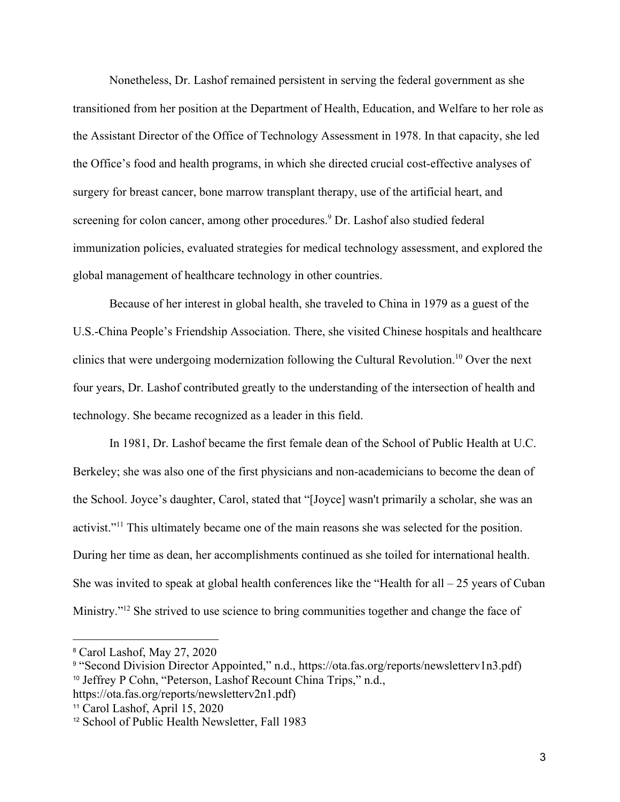Nonetheless, Dr. Lashof remained persistent in serving the federal government as she transitioned from her position at the Department of Health, Education, and Welfare to her role as the Assistant Director of the Office of Technology Assessment in 1978. In that capacity, she led the Office's food and health programs, in which she directed crucial cost-effective analyses of surgery for breast cancer, bone marrow transplant therapy, use of the artificial heart, and screening for colon cancer, among other procedures.<sup>9</sup> Dr. Lashof also studied federal immunization policies, evaluated strategies for medical technology assessment, and explored the global management of healthcare technology in other countries.

Because of her interest in global health, she traveled to China in 1979 as a guest of the U.S.-China People's Friendship Association. There, she visited Chinese hospitals and healthcare clinics that were undergoing modernization following the Cultural Revolution.<sup>10</sup> Over the next four years, Dr. Lashof contributed greatly to the understanding of the intersection of health and technology. She became recognized as a leader in this field.

In 1981, Dr. Lashof became the first female dean of the School of Public Health at U.C. Berkeley; she was also one of the first physicians and non-academicians to become the dean of the School. Joyce's daughter, Carol, stated that "[Joyce] wasn't primarily a scholar, she was an activist."<sup>11</sup> This ultimately became one of the main reasons she was selected for the position. During her time as dean, her accomplishments continued as she toiled for international health. She was invited to speak at global health conferences like the "Health for all  $-25$  years of Cuban Ministry."<sup>12</sup> She strived to use science to bring communities together and change the face of

<sup>8</sup> Carol Lashof, May 27, 2020

<sup>&</sup>lt;sup>9</sup> "Second Division Director Appointed," n.d., https://ota.fas.org/reports/newsletterv1n3.pdf) <sup>10</sup> Jeffrey P Cohn, "Peterson, Lashof Recount China Trips," n.d., https://ota.fas.org/reports/newsletterv2n1.pdf)

<sup>11</sup> Carol Lashof, April 15, 2020

<sup>12</sup> School of Public Health Newsletter, Fall 1983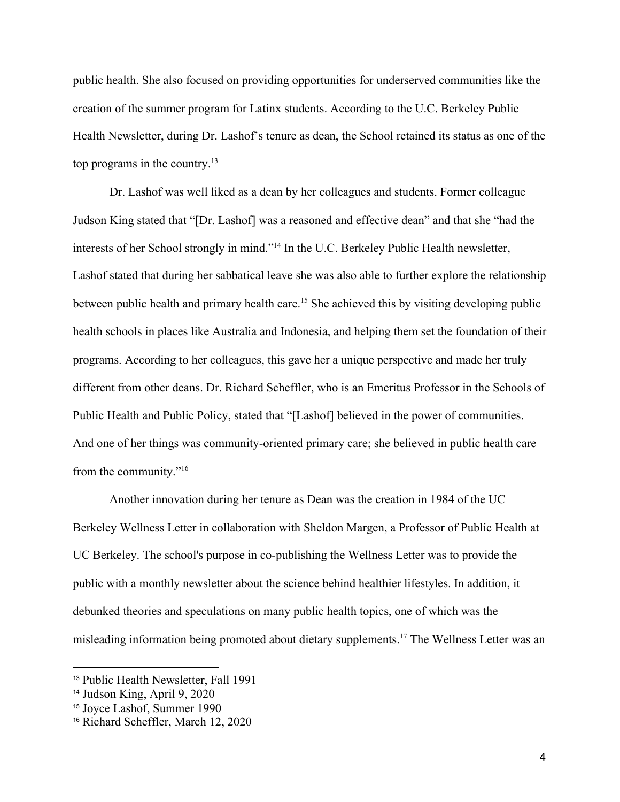public health. She also focused on providing opportunities for underserved communities like the creation of the summer program for Latinx students. According to the U.C. Berkeley Public Health Newsletter, during Dr. Lashof's tenure as dean, the School retained its status as one of the top programs in the country.<sup>13</sup>

Dr. Lashof was well liked as a dean by her colleagues and students. Former colleague Judson King stated that "[Dr. Lashof] was a reasoned and effective dean" and that she "had the interests of her School strongly in mind."<sup>14</sup> In the U.C. Berkeley Public Health newsletter, Lashof stated that during her sabbatical leave she was also able to further explore the relationship between public health and primary health care.<sup>15</sup> She achieved this by visiting developing public health schools in places like Australia and Indonesia, and helping them set the foundation of their programs. According to her colleagues, this gave her a unique perspective and made her truly different from other deans. Dr. Richard Scheffler, who is an Emeritus Professor in the Schools of Public Health and Public Policy, stated that "[Lashof] believed in the power of communities. And one of her things was community-oriented primary care; she believed in public health care from the community."<sup>16</sup>

Another innovation during her tenure as Dean was the creation in 1984 of the UC Berkeley Wellness Letter in collaboration with Sheldon Margen, a Professor of Public Health at UC Berkeley. The school's purpose in co-publishing the Wellness Letter was to provide the public with a monthly newsletter about the science behind healthier lifestyles. In addition, it debunked theories and speculations on many public health topics, one of which was the misleading information being promoted about dietary supplements.<sup>17</sup> The Wellness Letter was an

<sup>13</sup> Public Health Newsletter, Fall 1991

<sup>14</sup> Judson King, April 9, 2020

<sup>15</sup> Joyce Lashof, Summer 1990

<sup>16</sup> Richard Scheffler, March 12, 2020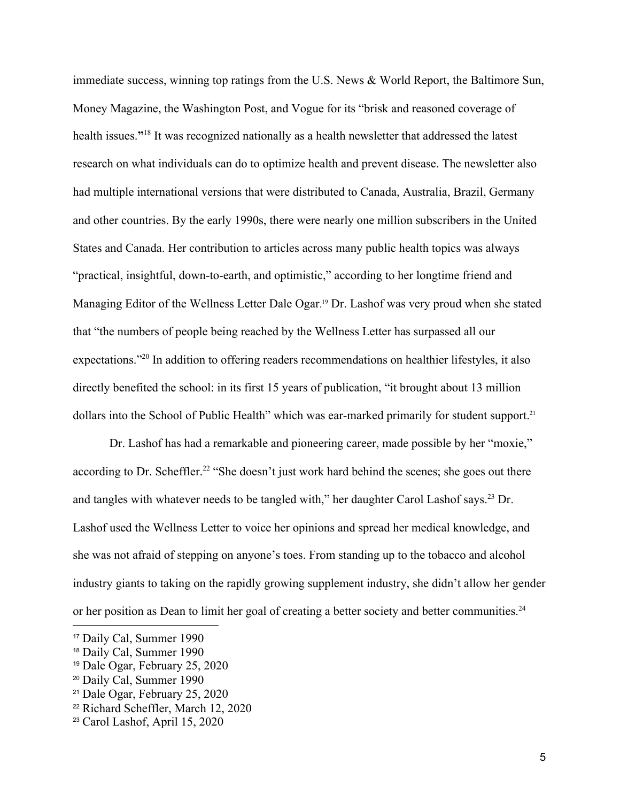immediate success, winning top ratings from the U.S. News & World Report, the Baltimore Sun, Money Magazine, the Washington Post, and Vogue for its "brisk and reasoned coverage of health issues."<sup>18</sup> It was recognized nationally as a health newsletter that addressed the latest research on what individuals can do to optimize health and prevent disease. The newsletter also had multiple international versions that were distributed to Canada, Australia, Brazil, Germany and other countries. By the early 1990s, there were nearly one million subscribers in the United States and Canada. Her contribution to articles across many public health topics was always "practical, insightful, down-to-earth, and optimistic," according to her longtime friend and Managing Editor of the Wellness Letter Dale Ogar. <sup>19</sup> Dr. Lashof was very proud when she stated that "the numbers of people being reached by the Wellness Letter has surpassed all our expectations."<sup>20</sup> In addition to offering readers recommendations on healthier lifestyles, it also directly benefited the school: in its first 15 years of publication, "it brought about 13 million dollars into the School of Public Health" which was ear-marked primarily for student support.<sup>21</sup>

Dr. Lashof has had a remarkable and pioneering career, made possible by her "moxie," according to Dr. Scheffler.<sup>22</sup> "She doesn't just work hard behind the scenes; she goes out there and tangles with whatever needs to be tangled with," her daughter Carol Lashof says.<sup>23</sup> Dr. Lashof used the Wellness Letter to voice her opinions and spread her medical knowledge, and she was not afraid of stepping on anyone's toes. From standing up to the tobacco and alcohol industry giants to taking on the rapidly growing supplement industry, she didn't allow her gender or her position as Dean to limit her goal of creating a better society and better communities.<sup>24</sup>

<sup>17</sup> Daily Cal, Summer 1990

<sup>18</sup> Daily Cal, Summer 1990

<sup>19</sup> Dale Ogar, February 25, 2020

<sup>20</sup> Daily Cal, Summer 1990

<sup>21</sup> Dale Ogar, February 25, 2020

<sup>22</sup> Richard Scheffler, March 12, 2020

<sup>23</sup> Carol Lashof, April 15, 2020